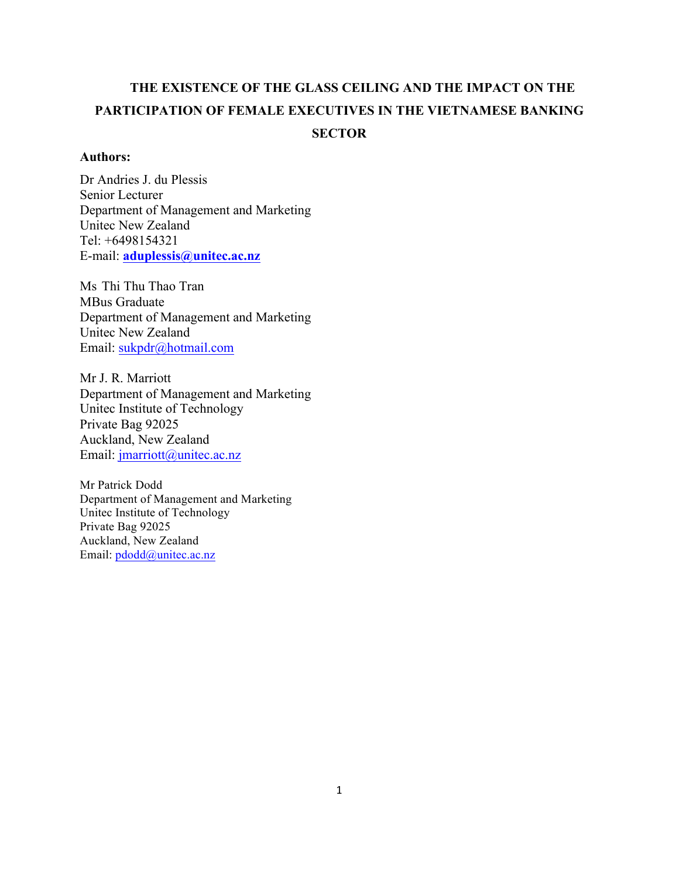# **THE EXISTENCE OF THE GLASS CEILING AND THE IMPACT ON THE PARTICIPATION OF FEMALE EXECUTIVES IN THE VIETNAMESE BANKING SECTOR**

# **Authors:**

Dr Andries J. du Plessis Senior Lecturer Department of Management and Marketing Unitec New Zealand Tel: +6498154321 E-mail: **aduplessis@unitec.ac.nz**

Ms Thi Thu Thao Tran MBus Graduate Department of Management and Marketing Unitec New Zealand Email: sukpdr@hotmail.com

Mr J. R. Marriott Department of Management and Marketing Unitec Institute of Technology Private Bag 92025 Auckland, New Zealand Email: jmarriott@unitec.ac.nz

Mr Patrick Dodd Department of Management and Marketing Unitec Institute of Technology Private Bag 92025 Auckland, New Zealand Email: pdodd@unitec.ac.nz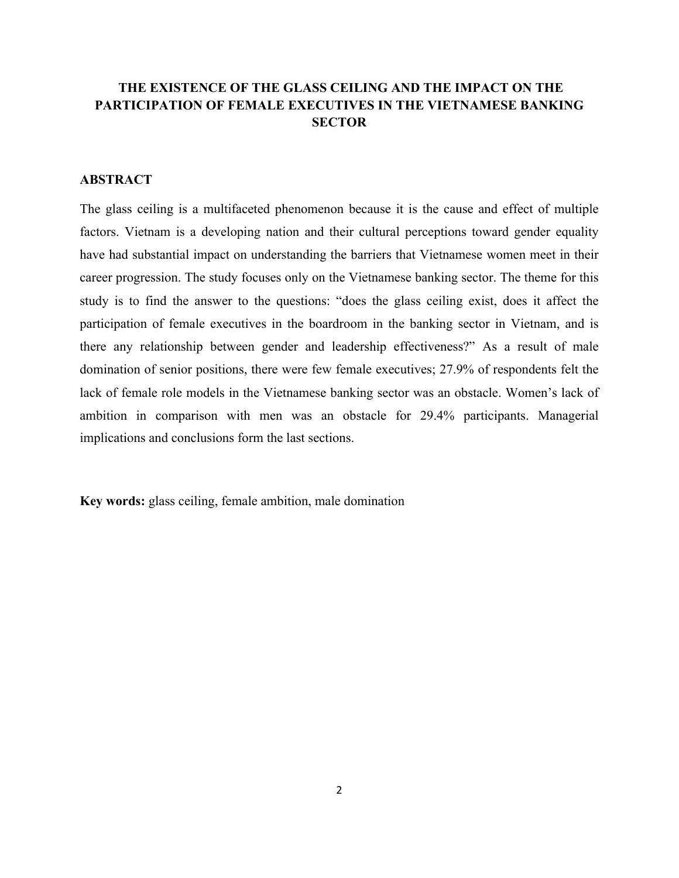# **THE EXISTENCE OF THE GLASS CEILING AND THE IMPACT ON THE PARTICIPATION OF FEMALE EXECUTIVES IN THE VIETNAMESE BANKING SECTOR**

# **ABSTRACT**

The glass ceiling is a multifaceted phenomenon because it is the cause and effect of multiple factors. Vietnam is a developing nation and their cultural perceptions toward gender equality have had substantial impact on understanding the barriers that Vietnamese women meet in their career progression. The study focuses only on the Vietnamese banking sector. The theme for this study is to find the answer to the questions: "does the glass ceiling exist, does it affect the participation of female executives in the boardroom in the banking sector in Vietnam, and is there any relationship between gender and leadership effectiveness?" As a result of male domination of senior positions, there were few female executives; 27.9% of respondents felt the lack of female role models in the Vietnamese banking sector was an obstacle. Women's lack of ambition in comparison with men was an obstacle for 29.4% participants. Managerial implications and conclusions form the last sections.

**Key words:** glass ceiling, female ambition, male domination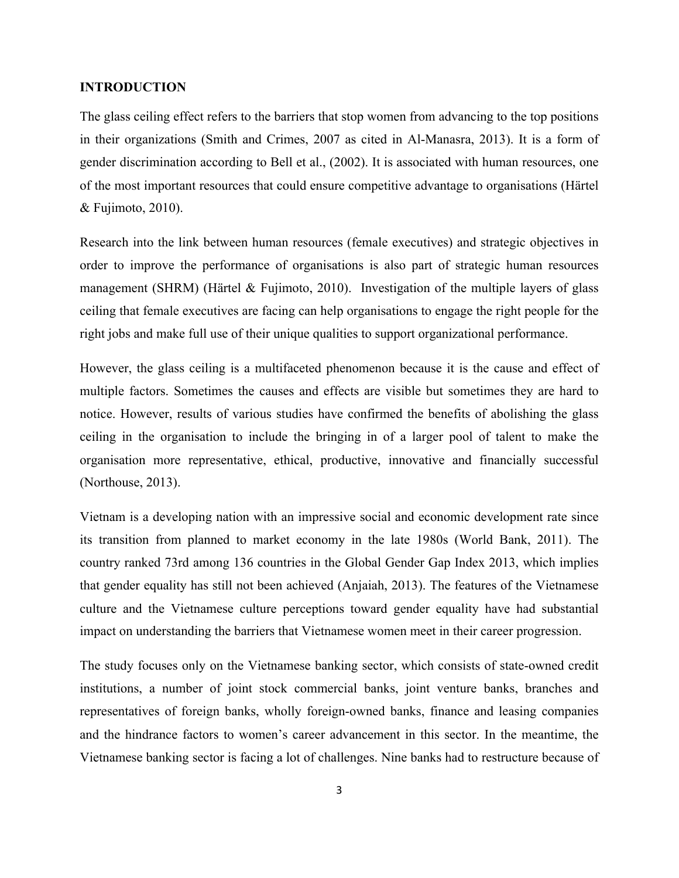#### **INTRODUCTION**

The glass ceiling effect refers to the barriers that stop women from advancing to the top positions in their organizations (Smith and Crimes, 2007 as cited in Al-Manasra, 2013). It is a form of gender discrimination according to Bell et al., (2002). It is associated with human resources, one of the most important resources that could ensure competitive advantage to organisations (Härtel & Fujimoto, 2010).

Research into the link between human resources (female executives) and strategic objectives in order to improve the performance of organisations is also part of strategic human resources management (SHRM) (Härtel & Fujimoto, 2010). Investigation of the multiple layers of glass ceiling that female executives are facing can help organisations to engage the right people for the right jobs and make full use of their unique qualities to support organizational performance.

However, the glass ceiling is a multifaceted phenomenon because it is the cause and effect of multiple factors. Sometimes the causes and effects are visible but sometimes they are hard to notice. However, results of various studies have confirmed the benefits of abolishing the glass ceiling in the organisation to include the bringing in of a larger pool of talent to make the organisation more representative, ethical, productive, innovative and financially successful (Northouse, 2013).

Vietnam is a developing nation with an impressive social and economic development rate since its transition from planned to market economy in the late 1980s (World Bank, 2011). The country ranked 73rd among 136 countries in the Global Gender Gap Index 2013, which implies that gender equality has still not been achieved (Anjaiah, 2013). The features of the Vietnamese culture and the Vietnamese culture perceptions toward gender equality have had substantial impact on understanding the barriers that Vietnamese women meet in their career progression.

The study focuses only on the Vietnamese banking sector, which consists of state-owned credit institutions, a number of joint stock commercial banks, joint venture banks, branches and representatives of foreign banks, wholly foreign-owned banks, finance and leasing companies and the hindrance factors to women's career advancement in this sector. In the meantime, the Vietnamese banking sector is facing a lot of challenges. Nine banks had to restructure because of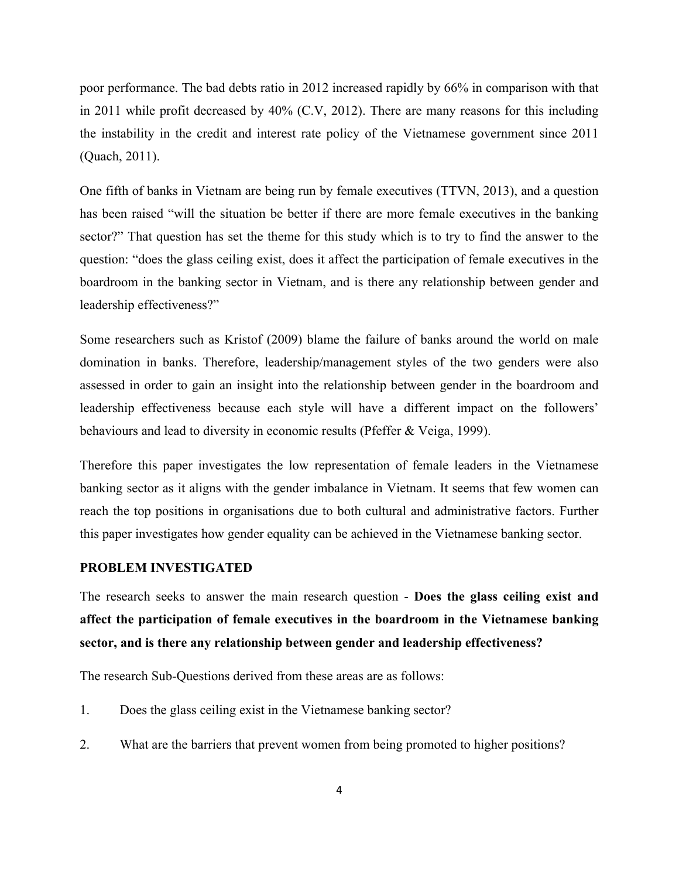poor performance. The bad debts ratio in 2012 increased rapidly by 66% in comparison with that in 2011 while profit decreased by 40% (C.V, 2012). There are many reasons for this including the instability in the credit and interest rate policy of the Vietnamese government since 2011 (Quach, 2011).

One fifth of banks in Vietnam are being run by female executives (TTVN, 2013), and a question has been raised "will the situation be better if there are more female executives in the banking sector?" That question has set the theme for this study which is to try to find the answer to the question: "does the glass ceiling exist, does it affect the participation of female executives in the boardroom in the banking sector in Vietnam, and is there any relationship between gender and leadership effectiveness?"

Some researchers such as Kristof (2009) blame the failure of banks around the world on male domination in banks. Therefore, leadership/management styles of the two genders were also assessed in order to gain an insight into the relationship between gender in the boardroom and leadership effectiveness because each style will have a different impact on the followers' behaviours and lead to diversity in economic results (Pfeffer & Veiga, 1999).

Therefore this paper investigates the low representation of female leaders in the Vietnamese banking sector as it aligns with the gender imbalance in Vietnam. It seems that few women can reach the top positions in organisations due to both cultural and administrative factors. Further this paper investigates how gender equality can be achieved in the Vietnamese banking sector.

#### **PROBLEM INVESTIGATED**

The research seeks to answer the main research question - **Does the glass ceiling exist and affect the participation of female executives in the boardroom in the Vietnamese banking sector, and is there any relationship between gender and leadership effectiveness?**

The research Sub-Questions derived from these areas are as follows:

- 1. Does the glass ceiling exist in the Vietnamese banking sector?
- 2. What are the barriers that prevent women from being promoted to higher positions?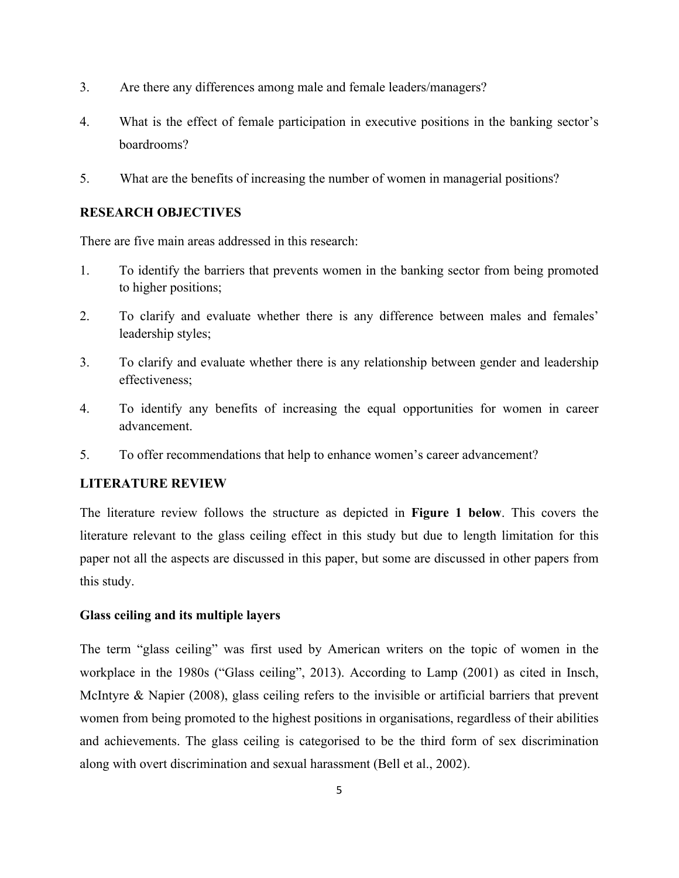- 3. Are there any differences among male and female leaders/managers?
- 4. What is the effect of female participation in executive positions in the banking sector's boardrooms?
- 5. What are the benefits of increasing the number of women in managerial positions?

# **RESEARCH OBJECTIVES**

There are five main areas addressed in this research:

- 1. To identify the barriers that prevents women in the banking sector from being promoted to higher positions;
- 2. To clarify and evaluate whether there is any difference between males and females' leadership styles;
- 3. To clarify and evaluate whether there is any relationship between gender and leadership effectiveness;
- 4. To identify any benefits of increasing the equal opportunities for women in career advancement.
- 5. To offer recommendations that help to enhance women's career advancement?

# **LITERATURE REVIEW**

The literature review follows the structure as depicted in **Figure 1 below**. This covers the literature relevant to the glass ceiling effect in this study but due to length limitation for this paper not all the aspects are discussed in this paper, but some are discussed in other papers from this study.

# **Glass ceiling and its multiple layers**

The term "glass ceiling" was first used by American writers on the topic of women in the workplace in the 1980s ("Glass ceiling", 2013). According to Lamp (2001) as cited in Insch, McIntyre & Napier (2008), glass ceiling refers to the invisible or artificial barriers that prevent women from being promoted to the highest positions in organisations, regardless of their abilities and achievements. The glass ceiling is categorised to be the third form of sex discrimination along with overt discrimination and sexual harassment (Bell et al., 2002).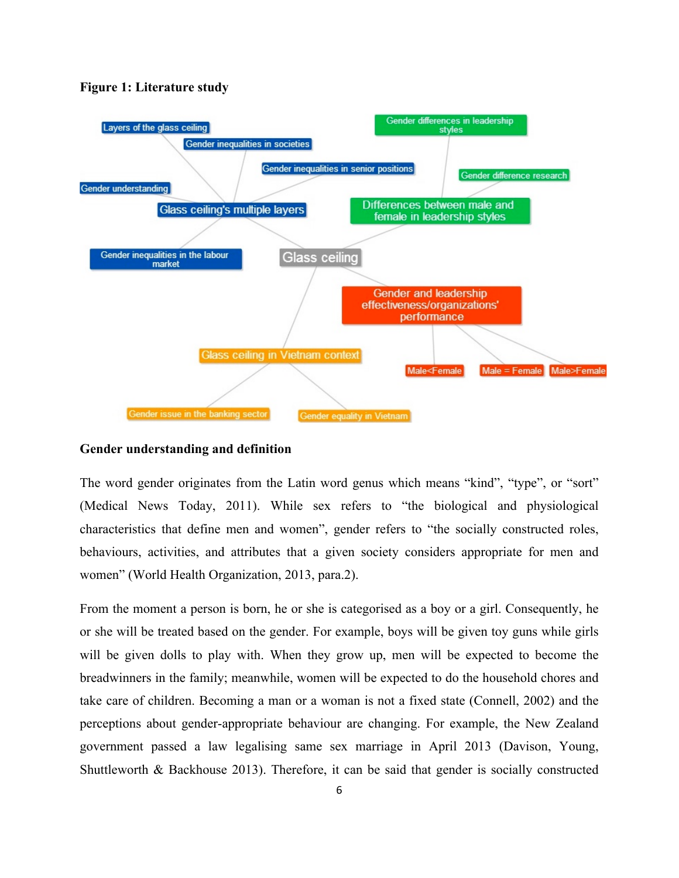

#### **Figure 1: Literature study**

#### **Gender understanding and definition**

The word gender originates from the Latin word genus which means "kind", "type", or "sort" (Medical News Today, 2011). While sex refers to "the biological and physiological characteristics that define men and women", gender refers to "the socially constructed roles, behaviours, activities, and attributes that a given society considers appropriate for men and women" (World Health Organization, 2013, para.2).

From the moment a person is born, he or she is categorised as a boy or a girl. Consequently, he or she will be treated based on the gender. For example, boys will be given toy guns while girls will be given dolls to play with. When they grow up, men will be expected to become the breadwinners in the family; meanwhile, women will be expected to do the household chores and take care of children. Becoming a man or a woman is not a fixed state (Connell, 2002) and the perceptions about gender-appropriate behaviour are changing. For example, the New Zealand government passed a law legalising same sex marriage in April 2013 (Davison, Young, Shuttleworth & Backhouse 2013). Therefore, it can be said that gender is socially constructed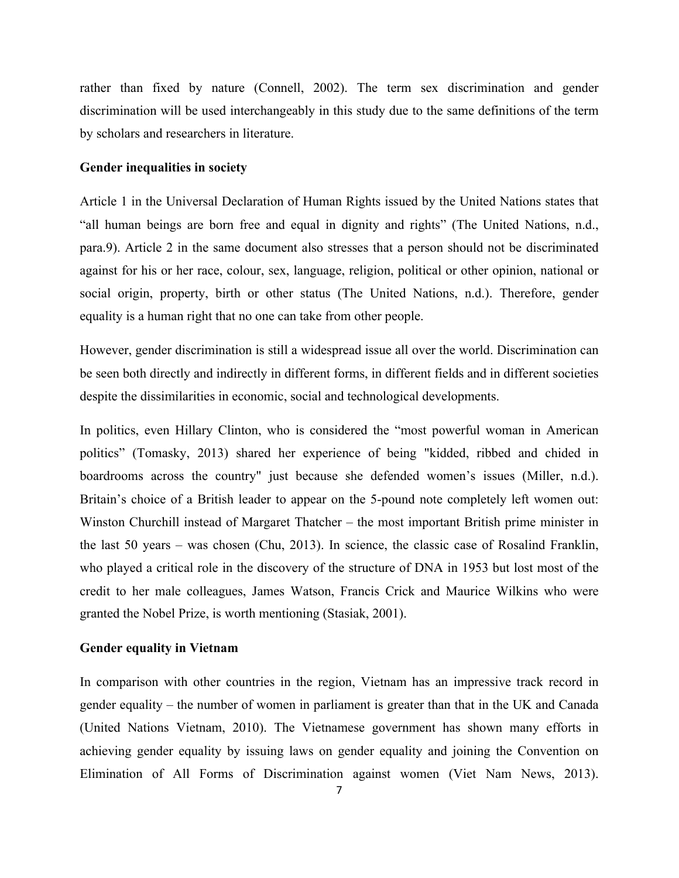rather than fixed by nature (Connell, 2002). The term sex discrimination and gender discrimination will be used interchangeably in this study due to the same definitions of the term by scholars and researchers in literature.

### **Gender inequalities in society**

Article 1 in the Universal Declaration of Human Rights issued by the United Nations states that "all human beings are born free and equal in dignity and rights" (The United Nations, n.d., para.9). Article 2 in the same document also stresses that a person should not be discriminated against for his or her race, colour, sex, language, religion, political or other opinion, national or social origin, property, birth or other status (The United Nations, n.d.). Therefore, gender equality is a human right that no one can take from other people.

However, gender discrimination is still a widespread issue all over the world. Discrimination can be seen both directly and indirectly in different forms, in different fields and in different societies despite the dissimilarities in economic, social and technological developments.

In politics, even Hillary Clinton, who is considered the "most powerful woman in American politics" (Tomasky, 2013) shared her experience of being "kidded, ribbed and chided in boardrooms across the country" just because she defended women's issues (Miller, n.d.). Britain's choice of a British leader to appear on the 5-pound note completely left women out: Winston Churchill instead of Margaret Thatcher – the most important British prime minister in the last 50 years – was chosen (Chu, 2013). In science, the classic case of Rosalind Franklin, who played a critical role in the discovery of the structure of DNA in 1953 but lost most of the credit to her male colleagues, James Watson, Francis Crick and Maurice Wilkins who were granted the Nobel Prize, is worth mentioning (Stasiak, 2001).

### **Gender equality in Vietnam**

In comparison with other countries in the region, Vietnam has an impressive track record in gender equality – the number of women in parliament is greater than that in the UK and Canada (United Nations Vietnam, 2010). The Vietnamese government has shown many efforts in achieving gender equality by issuing laws on gender equality and joining the Convention on Elimination of All Forms of Discrimination against women (Viet Nam News, 2013).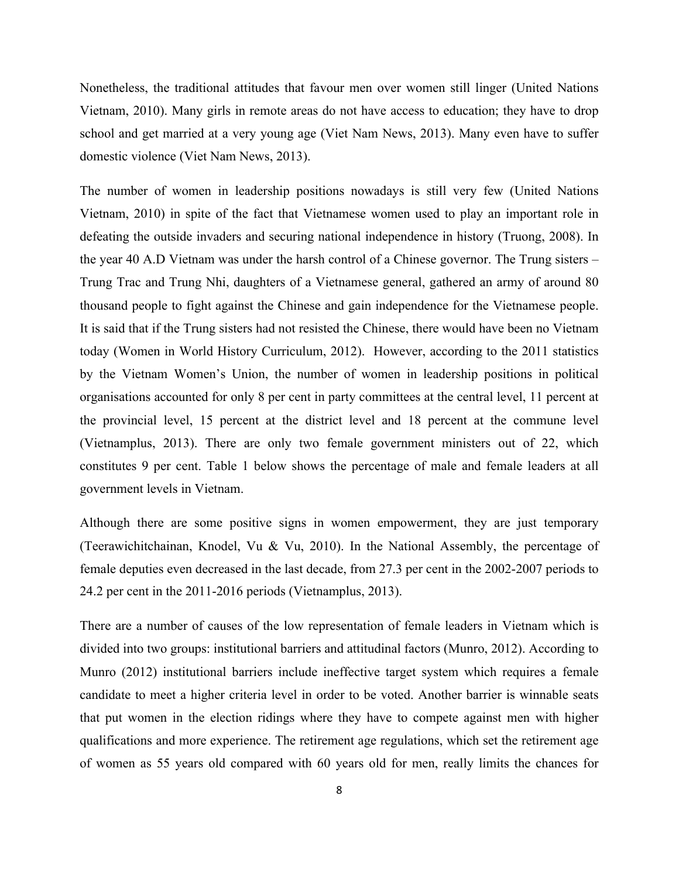Nonetheless, the traditional attitudes that favour men over women still linger (United Nations Vietnam, 2010). Many girls in remote areas do not have access to education; they have to drop school and get married at a very young age (Viet Nam News, 2013). Many even have to suffer domestic violence (Viet Nam News, 2013).

The number of women in leadership positions nowadays is still very few (United Nations Vietnam, 2010) in spite of the fact that Vietnamese women used to play an important role in defeating the outside invaders and securing national independence in history (Truong, 2008). In the year 40 A.D Vietnam was under the harsh control of a Chinese governor. The Trung sisters – Trung Trac and Trung Nhi, daughters of a Vietnamese general, gathered an army of around 80 thousand people to fight against the Chinese and gain independence for the Vietnamese people. It is said that if the Trung sisters had not resisted the Chinese, there would have been no Vietnam today (Women in World History Curriculum, 2012). However, according to the 2011 statistics by the Vietnam Women's Union, the number of women in leadership positions in political organisations accounted for only 8 per cent in party committees at the central level, 11 percent at the provincial level, 15 percent at the district level and 18 percent at the commune level (Vietnamplus, 2013). There are only two female government ministers out of 22, which constitutes 9 per cent. Table 1 below shows the percentage of male and female leaders at all government levels in Vietnam.

Although there are some positive signs in women empowerment, they are just temporary (Teerawichitchainan, Knodel, Vu & Vu, 2010). In the National Assembly, the percentage of female deputies even decreased in the last decade, from 27.3 per cent in the 2002-2007 periods to 24.2 per cent in the 2011-2016 periods (Vietnamplus, 2013).

There are a number of causes of the low representation of female leaders in Vietnam which is divided into two groups: institutional barriers and attitudinal factors (Munro, 2012). According to Munro (2012) institutional barriers include ineffective target system which requires a female candidate to meet a higher criteria level in order to be voted. Another barrier is winnable seats that put women in the election ridings where they have to compete against men with higher qualifications and more experience. The retirement age regulations, which set the retirement age of women as 55 years old compared with 60 years old for men, really limits the chances for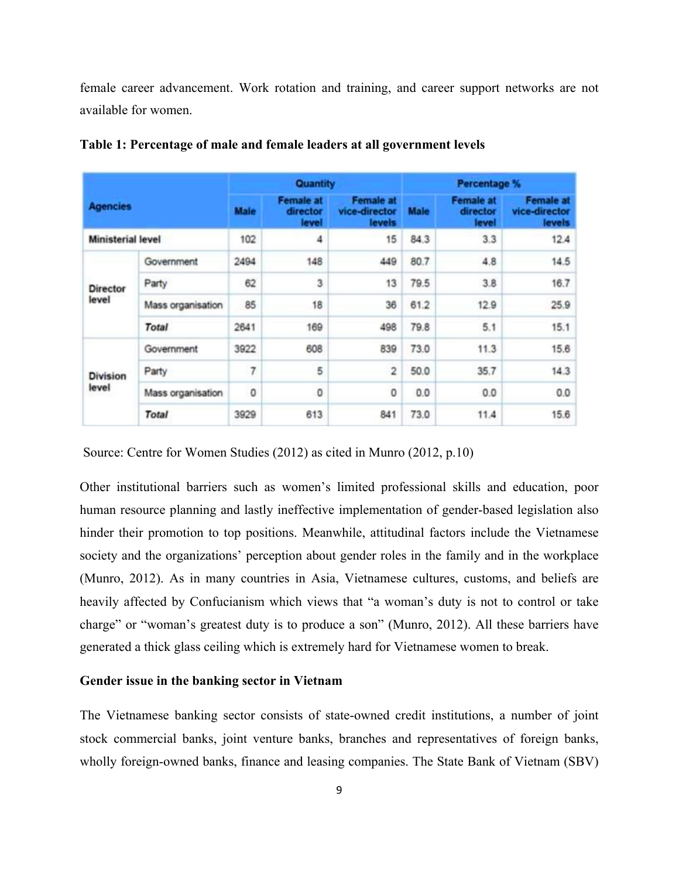female career advancement. Work rotation and training, and career support networks are not available for women.

|                          |                   |             | Quantity                              |                                             | Percentage % |                                       |                                             |
|--------------------------|-------------------|-------------|---------------------------------------|---------------------------------------------|--------------|---------------------------------------|---------------------------------------------|
| <b>Agencies</b>          |                   | <b>Maie</b> | <b>Female at</b><br>director<br>level | <b>Female at</b><br>vice-director<br>levels | <b>Male</b>  | <b>Female at</b><br>director<br>level | <b>Female at</b><br>vice-director<br>levels |
| <b>Ministerial level</b> |                   | 102         | 4                                     | 15                                          | 84.3         | 3.3                                   | 12.4                                        |
| <b>Director</b><br>level | Government        | 2494        | 148                                   | 449                                         | 80.7         | 4.8                                   | 14.5                                        |
|                          | Party             | 62          | 3                                     | 13                                          | 79.5         | 3.8                                   | 16.7                                        |
|                          | Mass organisation | 85          | 18                                    | 36                                          | 61.2         | 12.9                                  | 25.9                                        |
|                          | <b>Total</b>      | 2641        | 169                                   | 498                                         | 79.8         | 5.1                                   | 15.1                                        |
| <b>Division</b><br>level | Government        | 3922        | 608                                   | 839                                         | 73.0         | 11.3                                  | 15.6                                        |
|                          | Party             | 7           | 5                                     | $\overline{c}$                              | 50.0         | 35.7                                  | 14.3                                        |
|                          | Mass organisation | 0           | 0                                     | 0                                           | 0.0          | 0.0                                   | 0.0                                         |
|                          | <b>Total</b>      | 3929        | 613                                   | 841                                         | 73.0         | 11.4                                  | 15.6                                        |

**Table 1: Percentage of male and female leaders at all government levels**

Source: Centre for Women Studies (2012) as cited in Munro (2012, p.10)

Other institutional barriers such as women's limited professional skills and education, poor human resource planning and lastly ineffective implementation of gender-based legislation also hinder their promotion to top positions. Meanwhile, attitudinal factors include the Vietnamese society and the organizations' perception about gender roles in the family and in the workplace (Munro, 2012). As in many countries in Asia, Vietnamese cultures, customs, and beliefs are heavily affected by Confucianism which views that "a woman's duty is not to control or take charge" or "woman's greatest duty is to produce a son" (Munro, 2012). All these barriers have generated a thick glass ceiling which is extremely hard for Vietnamese women to break.

# **Gender issue in the banking sector in Vietnam**

The Vietnamese banking sector consists of state-owned credit institutions, a number of joint stock commercial banks, joint venture banks, branches and representatives of foreign banks, wholly foreign-owned banks, finance and leasing companies. The State Bank of Vietnam (SBV)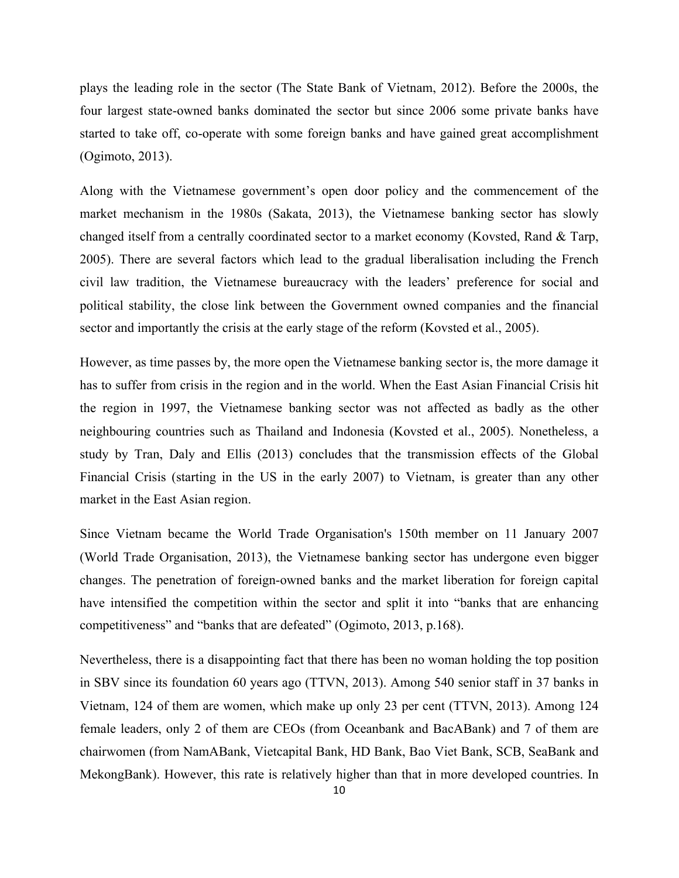plays the leading role in the sector (The State Bank of Vietnam, 2012). Before the 2000s, the four largest state-owned banks dominated the sector but since 2006 some private banks have started to take off, co-operate with some foreign banks and have gained great accomplishment (Ogimoto, 2013).

Along with the Vietnamese government's open door policy and the commencement of the market mechanism in the 1980s (Sakata, 2013), the Vietnamese banking sector has slowly changed itself from a centrally coordinated sector to a market economy (Kovsted, Rand & Tarp, 2005). There are several factors which lead to the gradual liberalisation including the French civil law tradition, the Vietnamese bureaucracy with the leaders' preference for social and political stability, the close link between the Government owned companies and the financial sector and importantly the crisis at the early stage of the reform (Kovsted et al., 2005).

However, as time passes by, the more open the Vietnamese banking sector is, the more damage it has to suffer from crisis in the region and in the world. When the East Asian Financial Crisis hit the region in 1997, the Vietnamese banking sector was not affected as badly as the other neighbouring countries such as Thailand and Indonesia (Kovsted et al., 2005). Nonetheless, a study by Tran, Daly and Ellis (2013) concludes that the transmission effects of the Global Financial Crisis (starting in the US in the early 2007) to Vietnam, is greater than any other market in the East Asian region.

Since Vietnam became the World Trade Organisation's 150th member on 11 January 2007 (World Trade Organisation, 2013), the Vietnamese banking sector has undergone even bigger changes. The penetration of foreign-owned banks and the market liberation for foreign capital have intensified the competition within the sector and split it into "banks that are enhancing competitiveness" and "banks that are defeated" (Ogimoto, 2013, p.168).

Nevertheless, there is a disappointing fact that there has been no woman holding the top position in SBV since its foundation 60 years ago (TTVN, 2013). Among 540 senior staff in 37 banks in Vietnam, 124 of them are women, which make up only 23 per cent (TTVN, 2013). Among 124 female leaders, only 2 of them are CEOs (from Oceanbank and BacABank) and 7 of them are chairwomen (from NamABank, Vietcapital Bank, HD Bank, Bao Viet Bank, SCB, SeaBank and MekongBank). However, this rate is relatively higher than that in more developed countries. In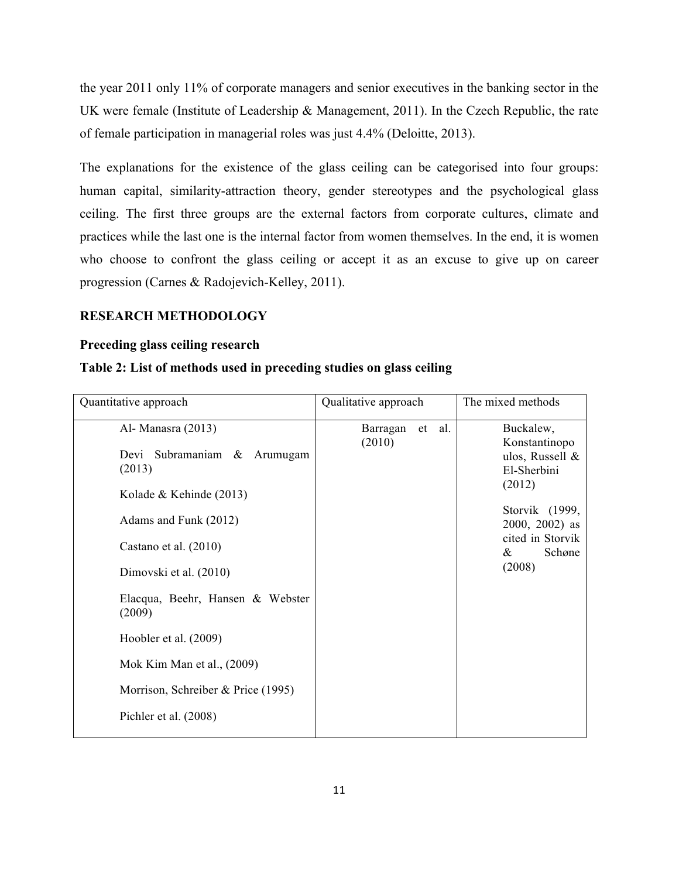the year 2011 only 11% of corporate managers and senior executives in the banking sector in the UK were female (Institute of Leadership & Management, 2011). In the Czech Republic, the rate of female participation in managerial roles was just 4.4% (Deloitte, 2013).

The explanations for the existence of the glass ceiling can be categorised into four groups: human capital, similarity-attraction theory, gender stereotypes and the psychological glass ceiling. The first three groups are the external factors from corporate cultures, climate and practices while the last one is the internal factor from women themselves. In the end, it is women who choose to confront the glass ceiling or accept it as an excuse to give up on career progression (Carnes & Radojevich-Kelley, 2011).

#### **RESEARCH METHODOLOGY**

### **Preceding glass ceiling research**

# **Table 2: List of methods used in preceding studies on glass ceiling**

| Quantitative approach                                                                                                                                                                                                                                                                                                                    | Qualitative approach            | The mixed methods                                                                                                                                        |  |
|------------------------------------------------------------------------------------------------------------------------------------------------------------------------------------------------------------------------------------------------------------------------------------------------------------------------------------------|---------------------------------|----------------------------------------------------------------------------------------------------------------------------------------------------------|--|
| Al-Manasra (2013)<br>Devi Subramaniam &<br>Arumugam<br>(2013)<br>Kolade & Kehinde (2013)<br>Adams and Funk (2012)<br>Castano et al. (2010)<br>Dimovski et al. (2010)<br>Elacqua, Beehr, Hansen & Webster<br>(2009)<br>Hoobler et al. (2009)<br>Mok Kim Man et al., (2009)<br>Morrison, Schreiber & Price (1995)<br>Pichler et al. (2008) | Barragan<br>al.<br>et<br>(2010) | Buckalew,<br>Konstantinopo<br>ulos, Russell &<br>El-Sherbini<br>(2012)<br>Storvik (1999,<br>$2000, 2002$ as<br>cited in Storvik<br>Schøne<br>&<br>(2008) |  |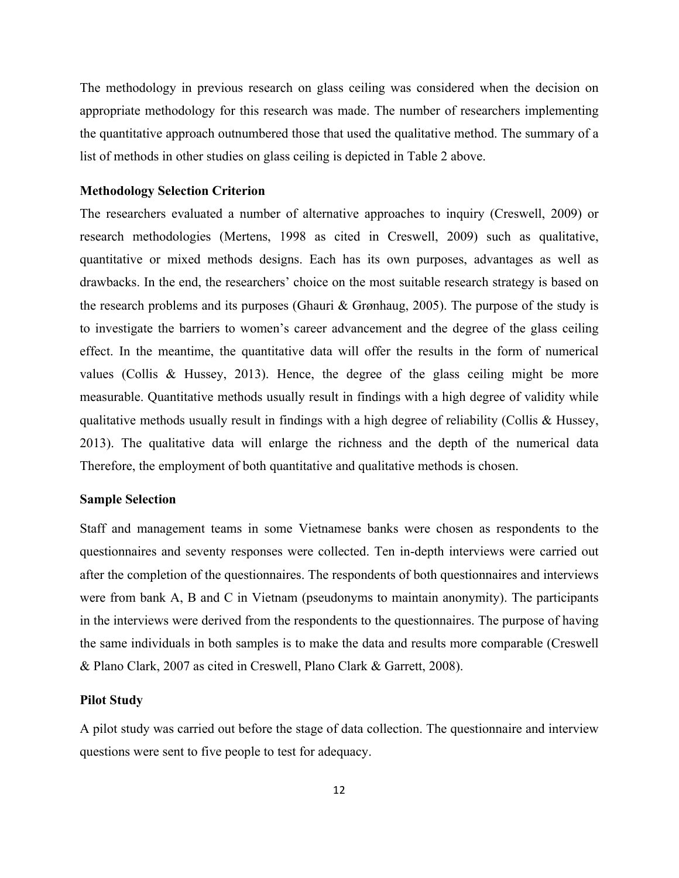The methodology in previous research on glass ceiling was considered when the decision on appropriate methodology for this research was made. The number of researchers implementing the quantitative approach outnumbered those that used the qualitative method. The summary of a list of methods in other studies on glass ceiling is depicted in Table 2 above.

# **Methodology Selection Criterion**

The researchers evaluated a number of alternative approaches to inquiry (Creswell, 2009) or research methodologies (Mertens, 1998 as cited in Creswell, 2009) such as qualitative, quantitative or mixed methods designs. Each has its own purposes, advantages as well as drawbacks. In the end, the researchers' choice on the most suitable research strategy is based on the research problems and its purposes (Ghauri & Grønhaug, 2005). The purpose of the study is to investigate the barriers to women's career advancement and the degree of the glass ceiling effect. In the meantime, the quantitative data will offer the results in the form of numerical values (Collis & Hussey, 2013). Hence, the degree of the glass ceiling might be more measurable. Quantitative methods usually result in findings with a high degree of validity while qualitative methods usually result in findings with a high degree of reliability (Collis & Hussey, 2013). The qualitative data will enlarge the richness and the depth of the numerical data Therefore, the employment of both quantitative and qualitative methods is chosen.

# **Sample Selection**

Staff and management teams in some Vietnamese banks were chosen as respondents to the questionnaires and seventy responses were collected. Ten in-depth interviews were carried out after the completion of the questionnaires. The respondents of both questionnaires and interviews were from bank A, B and C in Vietnam (pseudonyms to maintain anonymity). The participants in the interviews were derived from the respondents to the questionnaires. The purpose of having the same individuals in both samples is to make the data and results more comparable (Creswell & Plano Clark, 2007 as cited in Creswell, Plano Clark & Garrett, 2008).

#### **Pilot Study**

A pilot study was carried out before the stage of data collection. The questionnaire and interview questions were sent to five people to test for adequacy.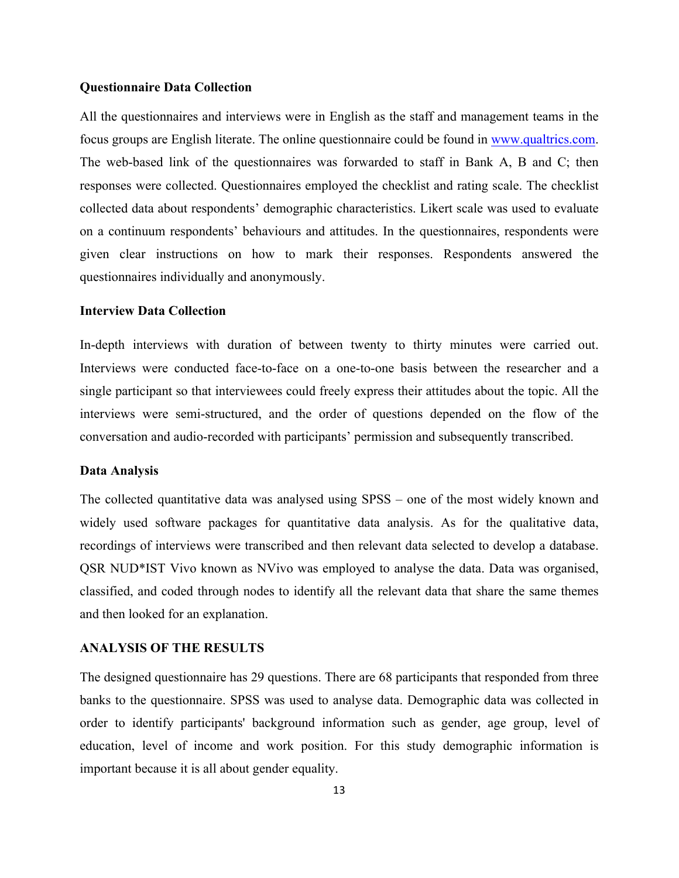#### **Questionnaire Data Collection**

All the questionnaires and interviews were in English as the staff and management teams in the focus groups are English literate. The online questionnaire could be found in www.qualtrics.com. The web-based link of the questionnaires was forwarded to staff in Bank A, B and C; then responses were collected. Questionnaires employed the checklist and rating scale. The checklist collected data about respondents' demographic characteristics. Likert scale was used to evaluate on a continuum respondents' behaviours and attitudes. In the questionnaires, respondents were given clear instructions on how to mark their responses. Respondents answered the questionnaires individually and anonymously.

#### **Interview Data Collection**

In-depth interviews with duration of between twenty to thirty minutes were carried out. Interviews were conducted face-to-face on a one-to-one basis between the researcher and a single participant so that interviewees could freely express their attitudes about the topic. All the interviews were semi-structured, and the order of questions depended on the flow of the conversation and audio-recorded with participants' permission and subsequently transcribed.

#### **Data Analysis**

The collected quantitative data was analysed using SPSS – one of the most widely known and widely used software packages for quantitative data analysis. As for the qualitative data, recordings of interviews were transcribed and then relevant data selected to develop a database. QSR NUD\*IST Vivo known as NVivo was employed to analyse the data. Data was organised, classified, and coded through nodes to identify all the relevant data that share the same themes and then looked for an explanation.

# **ANALYSIS OF THE RESULTS**

The designed questionnaire has 29 questions. There are 68 participants that responded from three banks to the questionnaire. SPSS was used to analyse data. Demographic data was collected in order to identify participants' background information such as gender, age group, level of education, level of income and work position. For this study demographic information is important because it is all about gender equality.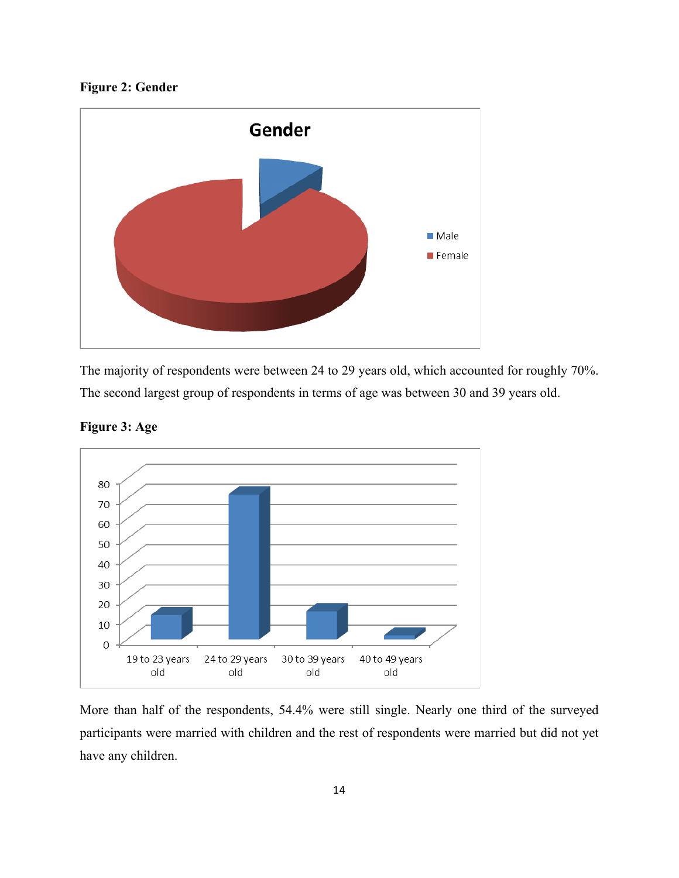**Figure 2: Gender**



The majority of respondents were between 24 to 29 years old, which accounted for roughly 70%. The second largest group of respondents in terms of age was between 30 and 39 years old.



**Figure 3: Age**

More than half of the respondents, 54.4% were still single. Nearly one third of the surveyed participants were married with children and the rest of respondents were married but did not yet have any children.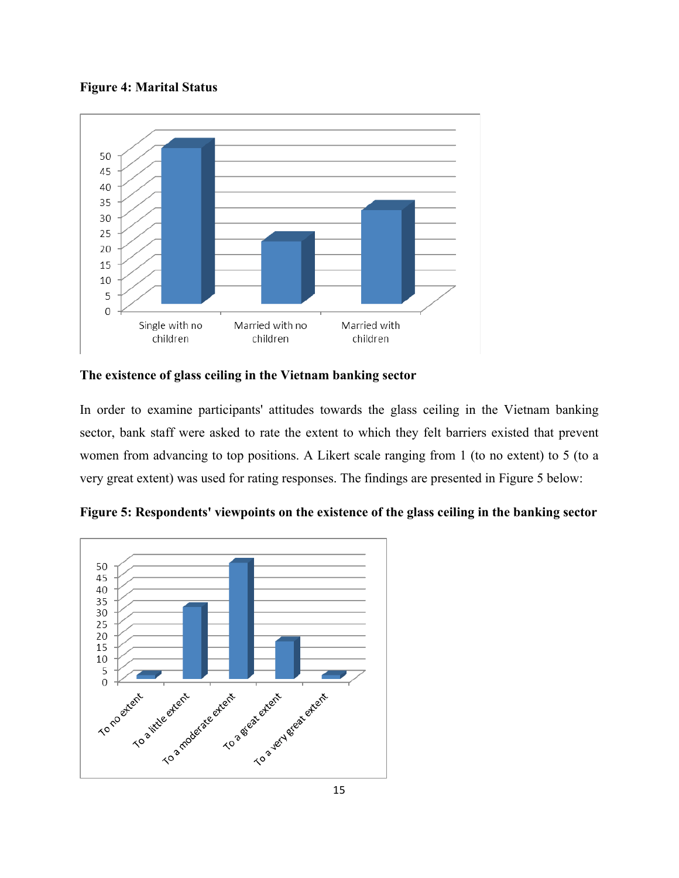**Figure 4: Marital Status**



**The existence of glass ceiling in the Vietnam banking sector**

In order to examine participants' attitudes towards the glass ceiling in the Vietnam banking sector, bank staff were asked to rate the extent to which they felt barriers existed that prevent women from advancing to top positions. A Likert scale ranging from 1 (to no extent) to 5 (to a very great extent) was used for rating responses. The findings are presented in Figure 5 below:



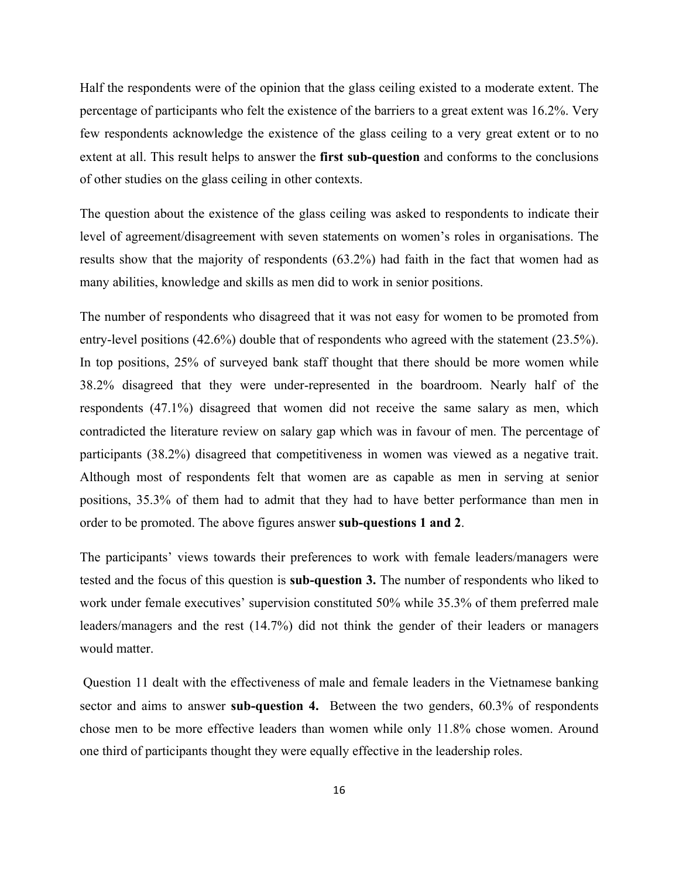Half the respondents were of the opinion that the glass ceiling existed to a moderate extent. The percentage of participants who felt the existence of the barriers to a great extent was 16.2%. Very few respondents acknowledge the existence of the glass ceiling to a very great extent or to no extent at all. This result helps to answer the **first sub-question** and conforms to the conclusions of other studies on the glass ceiling in other contexts.

The question about the existence of the glass ceiling was asked to respondents to indicate their level of agreement/disagreement with seven statements on women's roles in organisations. The results show that the majority of respondents (63.2%) had faith in the fact that women had as many abilities, knowledge and skills as men did to work in senior positions.

The number of respondents who disagreed that it was not easy for women to be promoted from entry-level positions (42.6%) double that of respondents who agreed with the statement (23.5%). In top positions, 25% of surveyed bank staff thought that there should be more women while 38.2% disagreed that they were under-represented in the boardroom. Nearly half of the respondents (47.1%) disagreed that women did not receive the same salary as men, which contradicted the literature review on salary gap which was in favour of men. The percentage of participants (38.2%) disagreed that competitiveness in women was viewed as a negative trait. Although most of respondents felt that women are as capable as men in serving at senior positions, 35.3% of them had to admit that they had to have better performance than men in order to be promoted. The above figures answer **sub-questions 1 and 2**.

The participants' views towards their preferences to work with female leaders/managers were tested and the focus of this question is **sub-question 3.** The number of respondents who liked to work under female executives' supervision constituted 50% while 35.3% of them preferred male leaders/managers and the rest (14.7%) did not think the gender of their leaders or managers would matter.

Question 11 dealt with the effectiveness of male and female leaders in the Vietnamese banking sector and aims to answer **sub-question 4.** Between the two genders, 60.3% of respondents chose men to be more effective leaders than women while only 11.8% chose women. Around one third of participants thought they were equally effective in the leadership roles.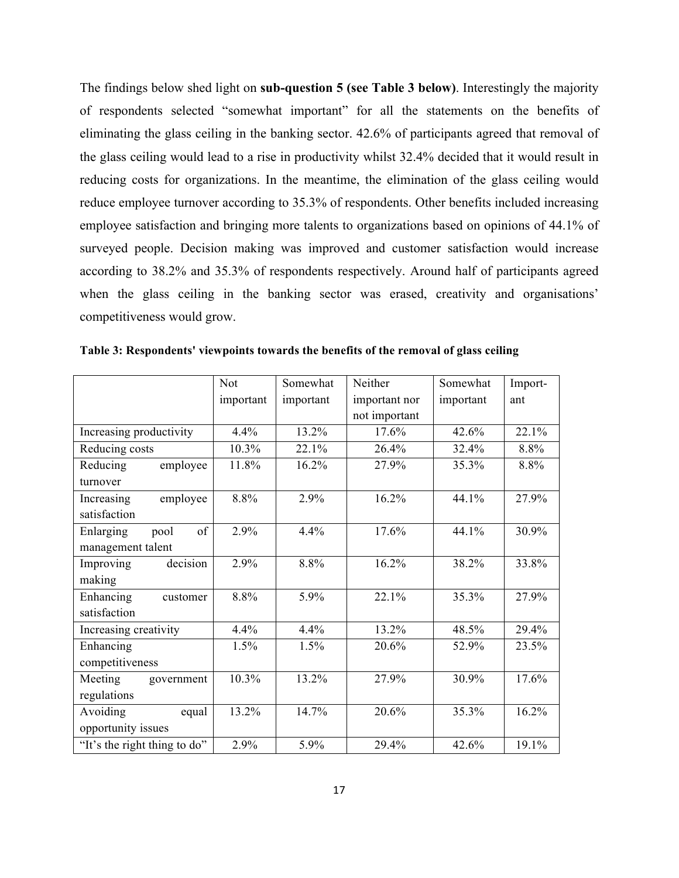The findings below shed light on **sub-question 5 (see Table 3 below)**. Interestingly the majority of respondents selected "somewhat important" for all the statements on the benefits of eliminating the glass ceiling in the banking sector. 42.6% of participants agreed that removal of the glass ceiling would lead to a rise in productivity whilst 32.4% decided that it would result in reducing costs for organizations. In the meantime, the elimination of the glass ceiling would reduce employee turnover according to 35.3% of respondents. Other benefits included increasing employee satisfaction and bringing more talents to organizations based on opinions of 44.1% of surveyed people. Decision making was improved and customer satisfaction would increase according to 38.2% and 35.3% of respondents respectively. Around half of participants agreed when the glass ceiling in the banking sector was erased, creativity and organisations' competitiveness would grow.

|                              | <b>Not</b> | Somewhat  | Neither       | Somewhat  | Import- |
|------------------------------|------------|-----------|---------------|-----------|---------|
|                              | important  | important | important nor | important | ant     |
|                              |            |           | not important |           |         |
| Increasing productivity      | 4.4%       | 13.2%     | 17.6%         | 42.6%     | 22.1%   |
| Reducing costs               | 10.3%      | 22.1%     | 26.4%         | 32.4%     | 8.8%    |
| Reducing<br>employee         | 11.8%      | 16.2%     | 27.9%         | 35.3%     | 8.8%    |
| turnover                     |            |           |               |           |         |
| employee<br>Increasing       | 8.8%       | 2.9%      | 16.2%         | 44.1%     | 27.9%   |
| satisfaction                 |            |           |               |           |         |
| of<br>Enlarging<br>pool      | 2.9%       | 4.4%      | 17.6%         | 44.1%     | 30.9%   |
| management talent            |            |           |               |           |         |
| decision<br>Improving        | 2.9%       | 8.8%      | 16.2%         | 38.2%     | 33.8%   |
| making                       |            |           |               |           |         |
| Enhancing<br>customer        | 8.8%       | 5.9%      | 22.1%         | 35.3%     | 27.9%   |
| satisfaction                 |            |           |               |           |         |
| Increasing creativity        | 4.4%       | 4.4%      | 13.2%         | 48.5%     | 29.4%   |
| Enhancing                    | 1.5%       | 1.5%      | 20.6%         | 52.9%     | 23.5%   |
| competitiveness              |            |           |               |           |         |
| Meeting<br>government        | 10.3%      | 13.2%     | 27.9%         | 30.9%     | 17.6%   |
| regulations                  |            |           |               |           |         |
| Avoiding<br>equal            | 13.2%      | 14.7%     | 20.6%         | 35.3%     | 16.2%   |
| opportunity issues           |            |           |               |           |         |
| "It's the right thing to do" | 2.9%       | 5.9%      | 29.4%         | 42.6%     | 19.1%   |

**Table 3: Respondents' viewpoints towards the benefits of the removal of glass ceiling**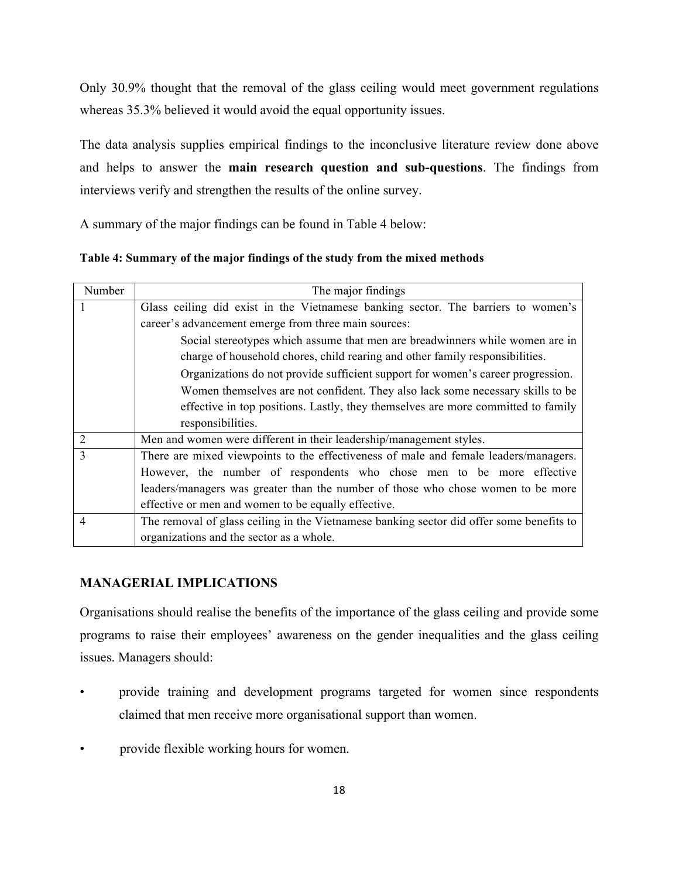Only 30.9% thought that the removal of the glass ceiling would meet government regulations whereas  $35.3\%$  believed it would avoid the equal opportunity issues.

The data analysis supplies empirical findings to the inconclusive literature review done above and helps to answer the **main research question and sub-questions**. The findings from interviews verify and strengthen the results of the online survey.

A summary of the major findings can be found in Table 4 below:

**Table 4: Summary of the major findings of the study from the mixed methods**

| Number         | The major findings                                                                       |  |  |  |
|----------------|------------------------------------------------------------------------------------------|--|--|--|
|                | Glass ceiling did exist in the Vietnamese banking sector. The barriers to women's        |  |  |  |
|                | career's advancement emerge from three main sources:                                     |  |  |  |
|                | Social stereotypes which assume that men are breadwinners while women are in             |  |  |  |
|                | charge of household chores, child rearing and other family responsibilities.             |  |  |  |
|                | Organizations do not provide sufficient support for women's career progression.          |  |  |  |
|                | Women themselves are not confident. They also lack some necessary skills to be           |  |  |  |
|                | effective in top positions. Lastly, they themselves are more committed to family         |  |  |  |
|                | responsibilities.                                                                        |  |  |  |
| 2              | Men and women were different in their leadership/management styles.                      |  |  |  |
| $\overline{3}$ | There are mixed viewpoints to the effectiveness of male and female leaders/managers.     |  |  |  |
|                | However, the number of respondents who chose men to be more effective                    |  |  |  |
|                | leaders/managers was greater than the number of those who chose women to be more         |  |  |  |
|                | effective or men and women to be equally effective.                                      |  |  |  |
| $\overline{4}$ | The removal of glass ceiling in the Vietnamese banking sector did offer some benefits to |  |  |  |
|                | organizations and the sector as a whole.                                                 |  |  |  |

# **MANAGERIAL IMPLICATIONS**

Organisations should realise the benefits of the importance of the glass ceiling and provide some programs to raise their employees' awareness on the gender inequalities and the glass ceiling issues. Managers should:

- provide training and development programs targeted for women since respondents claimed that men receive more organisational support than women.
- provide flexible working hours for women.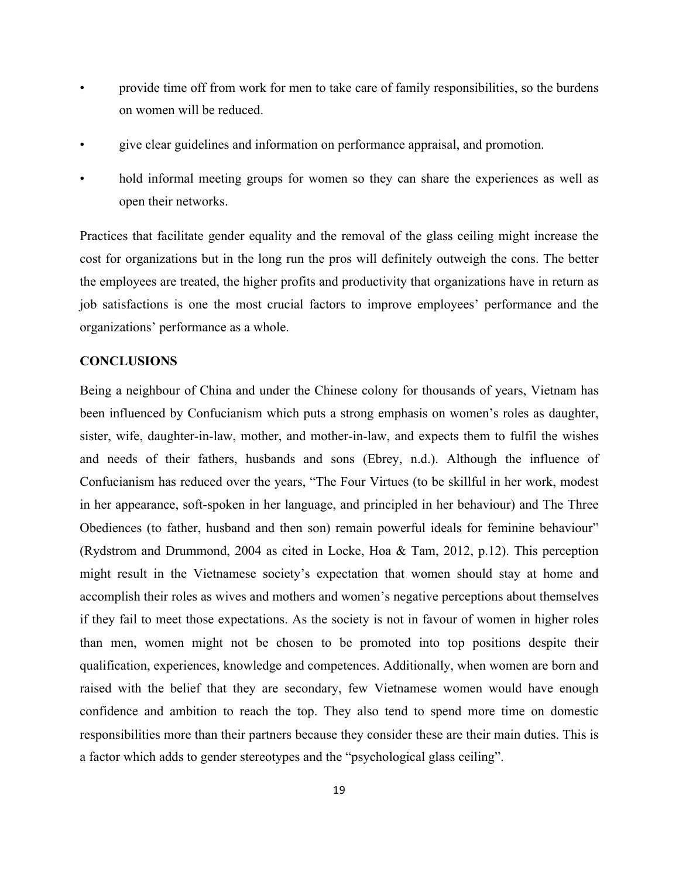- provide time off from work for men to take care of family responsibilities, so the burdens on women will be reduced.
- give clear guidelines and information on performance appraisal, and promotion.
- hold informal meeting groups for women so they can share the experiences as well as open their networks.

Practices that facilitate gender equality and the removal of the glass ceiling might increase the cost for organizations but in the long run the pros will definitely outweigh the cons. The better the employees are treated, the higher profits and productivity that organizations have in return as job satisfactions is one the most crucial factors to improve employees' performance and the organizations' performance as a whole.

#### **CONCLUSIONS**

Being a neighbour of China and under the Chinese colony for thousands of years, Vietnam has been influenced by Confucianism which puts a strong emphasis on women's roles as daughter, sister, wife, daughter-in-law, mother, and mother-in-law, and expects them to fulfil the wishes and needs of their fathers, husbands and sons (Ebrey, n.d.). Although the influence of Confucianism has reduced over the years, "The Four Virtues (to be skillful in her work, modest in her appearance, soft-spoken in her language, and principled in her behaviour) and The Three Obediences (to father, husband and then son) remain powerful ideals for feminine behaviour" (Rydstrom and Drummond, 2004 as cited in Locke, Hoa & Tam, 2012, p.12). This perception might result in the Vietnamese society's expectation that women should stay at home and accomplish their roles as wives and mothers and women's negative perceptions about themselves if they fail to meet those expectations. As the society is not in favour of women in higher roles than men, women might not be chosen to be promoted into top positions despite their qualification, experiences, knowledge and competences. Additionally, when women are born and raised with the belief that they are secondary, few Vietnamese women would have enough confidence and ambition to reach the top. They also tend to spend more time on domestic responsibilities more than their partners because they consider these are their main duties. This is a factor which adds to gender stereotypes and the "psychological glass ceiling".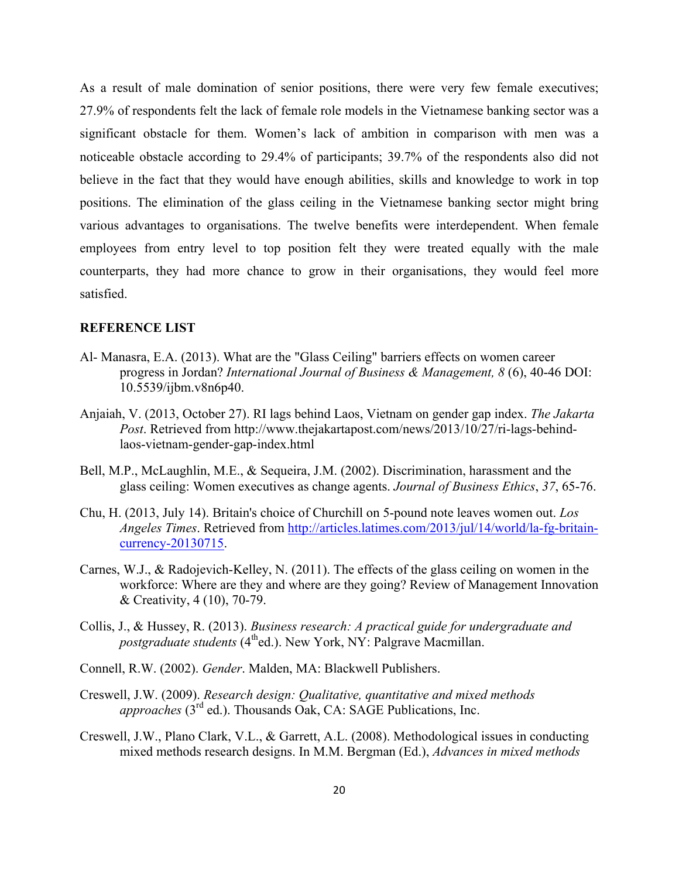As a result of male domination of senior positions, there were very few female executives; 27.9% of respondents felt the lack of female role models in the Vietnamese banking sector was a significant obstacle for them. Women's lack of ambition in comparison with men was a noticeable obstacle according to 29.4% of participants; 39.7% of the respondents also did not believe in the fact that they would have enough abilities, skills and knowledge to work in top positions. The elimination of the glass ceiling in the Vietnamese banking sector might bring various advantages to organisations. The twelve benefits were interdependent. When female employees from entry level to top position felt they were treated equally with the male counterparts, they had more chance to grow in their organisations, they would feel more satisfied.

# **REFERENCE LIST**

- Al- Manasra, E.A. (2013). What are the "Glass Ceiling" barriers effects on women career progress in Jordan? *International Journal of Business & Management, 8* (6), 40-46 DOI: 10.5539/ijbm.v8n6p40.
- Anjaiah, V. (2013, October 27). RI lags behind Laos, Vietnam on gender gap index. *The Jakarta Post*. Retrieved from http://www.thejakartapost.com/news/2013/10/27/ri-lags-behindlaos-vietnam-gender-gap-index.html
- Bell, M.P., McLaughlin, M.E., & Sequeira, J.M. (2002). Discrimination, harassment and the glass ceiling: Women executives as change agents. *Journal of Business Ethics*, *37*, 65-76.
- Chu, H. (2013, July 14). Britain's choice of Churchill on 5-pound note leaves women out. *Los Angeles Times*. Retrieved from http://articles.latimes.com/2013/jul/14/world/la-fg-britaincurrency-20130715.
- Carnes, W.J., & Radojevich-Kelley, N. (2011). The effects of the glass ceiling on women in the workforce: Where are they and where are they going? Review of Management Innovation & Creativity, 4 (10), 70-79.
- Collis, J., & Hussey, R. (2013). *Business research: A practical guide for undergraduate and postgraduate students* (4<sup>th</sup>ed.). New York, NY: Palgrave Macmillan.
- Connell, R.W. (2002). *Gender*. Malden, MA: Blackwell Publishers.
- Creswell, J.W. (2009). *Research design: Qualitative, quantitative and mixed methods Thousands Oak, CA: SAGE Publications, Inc.*
- Creswell, J.W., Plano Clark, V.L., & Garrett, A.L. (2008). Methodological issues in conducting mixed methods research designs. In M.M. Bergman (Ed.), *Advances in mixed methods*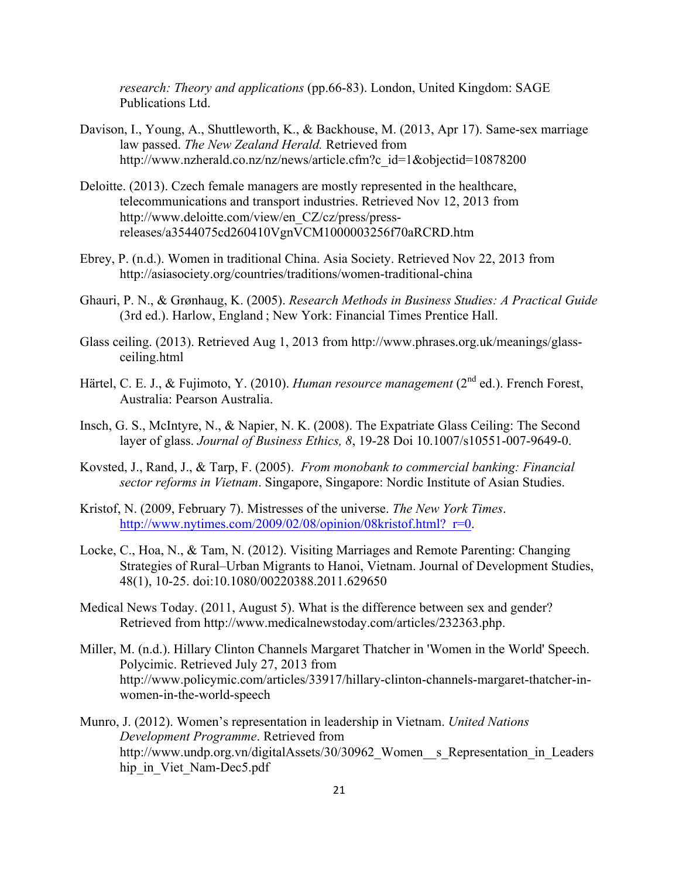*research: Theory and applications* (pp.66-83). London, United Kingdom: SAGE Publications Ltd.

- Davison, I., Young, A., Shuttleworth, K., & Backhouse, M. (2013, Apr 17). Same-sex marriage law passed. *The New Zealand Herald.* Retrieved from http://www.nzherald.co.nz/nz/news/article.cfm?c\_id=1&objectid=10878200
- Deloitte. (2013). Czech female managers are mostly represented in the healthcare, telecommunications and transport industries. Retrieved Nov 12, 2013 from http://www.deloitte.com/view/en\_CZ/cz/press/pressreleases/a3544075cd260410VgnVCM1000003256f70aRCRD.htm
- Ebrey, P. (n.d.). Women in traditional China. Asia Society. Retrieved Nov 22, 2013 from http://asiasociety.org/countries/traditions/women-traditional-china
- Ghauri, P. N., & Grønhaug, K. (2005). *Research Methods in Business Studies: A Practical Guide* (3rd ed.). Harlow, England ; New York: Financial Times Prentice Hall.
- Glass ceiling. (2013). Retrieved Aug 1, 2013 from http://www.phrases.org.uk/meanings/glassceiling.html
- Härtel, C. E. J., & Fujimoto, Y. (2010). *Human resource management* (2<sup>nd</sup> ed.). French Forest, Australia: Pearson Australia.
- Insch, G. S., McIntyre, N., & Napier, N. K. (2008). The Expatriate Glass Ceiling: The Second layer of glass. *Journal of Business Ethics, 8*, 19-28 Doi 10.1007/s10551-007-9649-0.
- Kovsted, J., Rand, J., & Tarp, F. (2005). *From monobank to commercial banking: Financial sector reforms in Vietnam*. Singapore, Singapore: Nordic Institute of Asian Studies.
- Kristof, N. (2009, February 7). Mistresses of the universe. *The New York Times*. http://www.nytimes.com/2009/02/08/opinion/08kristof.html? r=0.
- Locke, C., Hoa, N., & Tam, N. (2012). Visiting Marriages and Remote Parenting: Changing Strategies of Rural–Urban Migrants to Hanoi, Vietnam. Journal of Development Studies, 48(1), 10-25. doi:10.1080/00220388.2011.629650
- Medical News Today. (2011, August 5). What is the difference between sex and gender? Retrieved from http://www.medicalnewstoday.com/articles/232363.php.
- Miller, M. (n.d.). Hillary Clinton Channels Margaret Thatcher in 'Women in the World' Speech. Polycimic. Retrieved July 27, 2013 from http://www.policymic.com/articles/33917/hillary-clinton-channels-margaret-thatcher-inwomen-in-the-world-speech
- Munro, J. (2012). Women's representation in leadership in Vietnam. *United Nations Development Programme*. Retrieved from http://www.undp.org.vn/digitalAssets/30/30962 Women s Representation in Leaders hip in Viet Nam-Dec5.pdf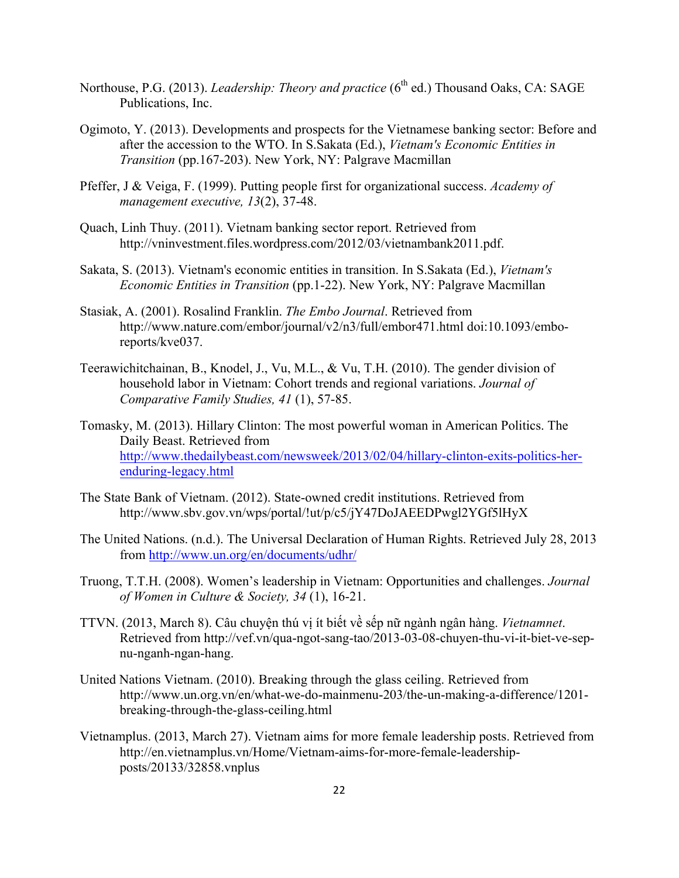- Northouse, P.G. (2013). *Leadership: Theory and practice* (6<sup>th</sup> ed.) Thousand Oaks, CA: SAGE Publications, Inc.
- Ogimoto, Y. (2013). Developments and prospects for the Vietnamese banking sector: Before and after the accession to the WTO. In S.Sakata (Ed.), *Vietnam's Economic Entities in Transition* (pp.167-203). New York, NY: Palgrave Macmillan
- Pfeffer, J & Veiga, F. (1999). Putting people first for organizational success. *Academy of management executive, 13*(2), 37-48.
- Quach, Linh Thuy. (2011). Vietnam banking sector report. Retrieved from http://vninvestment.files.wordpress.com/2012/03/vietnambank2011.pdf.
- Sakata, S. (2013). Vietnam's economic entities in transition. In S.Sakata (Ed.), *Vietnam's Economic Entities in Transition* (pp.1-22). New York, NY: Palgrave Macmillan
- Stasiak, A. (2001). Rosalind Franklin. *The Embo Journal*. Retrieved from http://www.nature.com/embor/journal/v2/n3/full/embor471.html doi:10.1093/emboreports/kve037.
- Teerawichitchainan, B., Knodel, J., Vu, M.L., & Vu, T.H. (2010). The gender division of household labor in Vietnam: Cohort trends and regional variations. *Journal of Comparative Family Studies, 41* (1), 57-85.
- Tomasky, M. (2013). Hillary Clinton: The most powerful woman in American Politics. The Daily Beast. Retrieved from http://www.thedailybeast.com/newsweek/2013/02/04/hillary-clinton-exits-politics-herenduring-legacy.html
- The State Bank of Vietnam. (2012). State-owned credit institutions. Retrieved from http://www.sbv.gov.vn/wps/portal/!ut/p/c5/jY47DoJAEEDPwgl2YGf5lHyX
- The United Nations. (n.d.). The Universal Declaration of Human Rights. Retrieved July 28, 2013 from http://www.un.org/en/documents/udhr/
- Truong, T.T.H. (2008). Women's leadership in Vietnam: Opportunities and challenges. *Journal of Women in Culture & Society, 34* (1), 16-21.
- TTVN. (2013, March 8). Câu chuyện thú vị ít biết về sếp nữ ngành ngân hàng. *Vietnamnet*. Retrieved from http://vef.vn/qua-ngot-sang-tao/2013-03-08-chuyen-thu-vi-it-biet-ve-sepnu-nganh-ngan-hang.
- United Nations Vietnam. (2010). Breaking through the glass ceiling. Retrieved from http://www.un.org.vn/en/what-we-do-mainmenu-203/the-un-making-a-difference/1201 breaking-through-the-glass-ceiling.html
- Vietnamplus. (2013, March 27). Vietnam aims for more female leadership posts. Retrieved from http://en.vietnamplus.vn/Home/Vietnam-aims-for-more-female-leadershipposts/20133/32858.vnplus